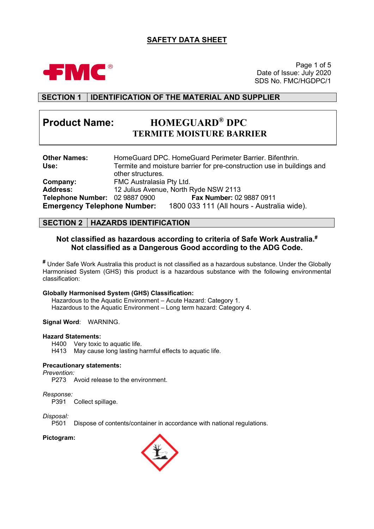## **SAFETY DATA SHEET**



Page 1 of 5 Date of Issue: July 2020 SDS No. FMC/HGDPC/1

### **SECTION 1 IDENTIFICATION OF THE MATERIAL AND SUPPLIER**

# **Product Name: HOMEGUARD® DPC TERMITE MOISTURE BARRIER**

| <b>Other Names:</b>                   |                          | HomeGuard DPC. HomeGuard Perimeter Barrier. Bifenthrin.                |
|---------------------------------------|--------------------------|------------------------------------------------------------------------|
| Use:                                  |                          | Termite and moisture barrier for pre-construction use in buildings and |
|                                       | other structures.        |                                                                        |
| Company:                              | FMC Australasia Pty Ltd. |                                                                        |
| <b>Address:</b>                       |                          | 12 Julius Avenue, North Ryde NSW 2113                                  |
| <b>Telephone Number: 02 9887 0900</b> |                          | Fax Number: 02 9887 0911                                               |
| <b>Emergency Telephone Number:</b>    |                          | 1800 033 111 (All hours - Australia wide).                             |

#### **SECTION 2 HAZARDS IDENTIFICATION**

#### **Not classified as hazardous according to criteria of Safe Work Australia. # Not classified as a Dangerous Good according to the ADG Code.**

**#** Under Safe Work Australia this product is not classified as a hazardous substance. Under the Globally Harmonised System (GHS) this product is a hazardous substance with the following environmental classification:

#### **Globally Harmonised System (GHS) Classification:**

Hazardous to the Aquatic Environment – Acute Hazard: Category 1. Hazardous to the Aquatic Environment – Long term hazard: Category 4.

**Signal Word**: WARNING.

#### **Hazard Statements:**

H400 Very toxic to aquatic life.

H413 May cause long lasting harmful effects to aquatic life.

#### **Precautionary statements:**

*Prevention:*

P273 Avoid release to the environment.

# *Response:*

Collect spillage.

# *Disposal:*

Dispose of contents/container in accordance with national regulations.

#### **Pictogram:**

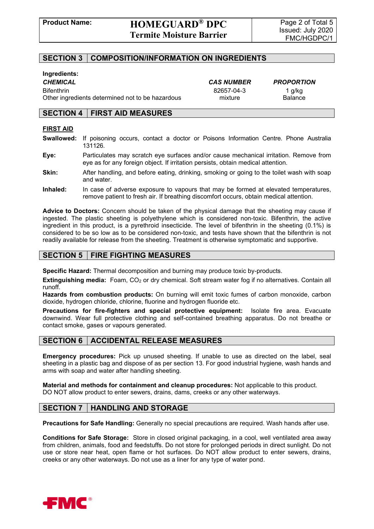### **SECTION 3 COMPOSITION/INFORMATION ON INGREDIENTS**

#### **Ingredients:**

Bifenthrin 82657-04-3 1 g/kg Other ingredients determined not to be hazardous mixture mixture Balance

*CHEMICAL CAS NUMBER PROPORTION*

#### **SECTION 4 FIRST AID MEASURES**

#### **FIRST AID**

- **Swallowed:** If poisoning occurs, contact a doctor or Poisons Information Centre. Phone Australia 131126.
- **Eye:** Particulates may scratch eye surfaces and/or cause mechanical irritation. Remove from eye as for any foreign object. If irritation persists, obtain medical attention.
- **Skin:** After handling, and before eating, drinking, smoking or going to the toilet wash with soap and water.
- **Inhaled:** In case of adverse exposure to vapours that may be formed at elevated temperatures, remove patient to fresh air. If breathing discomfort occurs, obtain medical attention.

**Advice to Doctors:** Concern should be taken of the physical damage that the sheeting may cause if ingested. The plastic sheeting is polyethylene which is considered non-toxic. Bifenthrin, the active ingredient in this product, is a pyrethroid insecticide. The level of bifenthrin in the sheeting (0.1%) is considered to be so low as to be considered non-toxic, and tests have shown that the bifenthrin is not readily available for release from the sheeting. Treatment is otherwise symptomatic and supportive.

### **SECTION 5 FIRE FIGHTING MEASURES**

**Specific Hazard:** Thermal decomposition and burning may produce toxic by-products.

**Extinguishing media:** Foam, CO<sub>2</sub> or dry chemical. Soft stream water fog if no alternatives. Contain all runoff.

**Hazards from combustion products:** On burning will emit toxic fumes of carbon monoxide, carbon dioxide, hydrogen chloride, chlorine, fluorine and hydrogen fluoride etc.

**Precautions for fire-fighters and special protective equipment:** Isolate fire area. Evacuate downwind. Wear full protective clothing and self-contained breathing apparatus. Do not breathe or contact smoke, gases or vapours generated.

#### **SECTION 6 ACCIDENTAL RELEASE MEASURES**

**Emergency procedures:** Pick up unused sheeting. If unable to use as directed on the label, seal sheeting in a plastic bag and dispose of as per section 13. For good industrial hygiene, wash hands and arms with soap and water after handling sheeting.

**Material and methods for containment and cleanup procedures:** Not applicable to this product. DO NOT allow product to enter sewers, drains, dams, creeks or any other waterways.

#### **SECTION 7 HANDLING AND STORAGE**

**Precautions for Safe Handling:** Generally no special precautions are required. Wash hands after use.

**Conditions for Safe Storage:** Store in closed original packaging, in a cool, well ventilated area away from children, animals, food and feedstuffs. Do not store for prolonged periods in direct sunlight. Do not use or store near heat, open flame or hot surfaces. Do NOT allow product to enter sewers, drains, creeks or any other waterways. Do not use as a liner for any type of water pond.

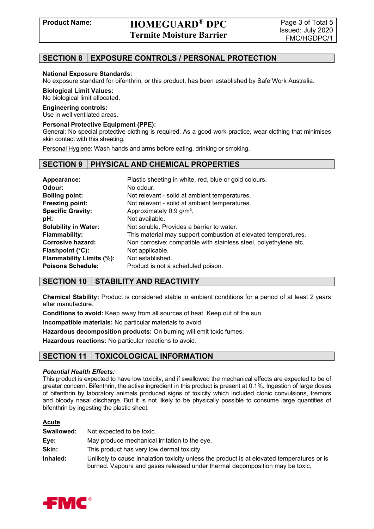### **SECTION 8 EXPOSURE CONTROLS / PERSONAL PROTECTION**

#### **National Exposure Standards:**

No exposure standard for bifenthrin, or this product, has been established by Safe Work Australia.

#### **Biological Limit Values:**

No biological limit allocated.

#### **Engineering controls:**

Use in well ventilated areas.

#### **Personal Protective Equipment (PPE):**

General: No special protective clothing is required. As a good work practice, wear clothing that minimises skin contact with this sheeting.

Personal Hygiene: Wash hands and arms before eating, drinking or smoking.

#### **SECTION 9 PHYSICAL AND CHEMICAL PROPERTIES**

| Appearance:<br>Odour:           | Plastic sheeting in white, red, blue or gold colours.<br>No odour. |
|---------------------------------|--------------------------------------------------------------------|
| <b>Boiling point:</b>           | Not relevant - solid at ambient temperatures.                      |
| Freezing point:                 | Not relevant - solid at ambient temperatures.                      |
| <b>Specific Gravity:</b>        | Approximately 0.9 g/m <sup>3</sup> .                               |
| pH:                             | Not available.                                                     |
| <b>Solubility in Water:</b>     | Not soluble. Provides a barrier to water.                          |
| <b>Flammability:</b>            | This material may support combustion at elevated temperatures.     |
| <b>Corrosive hazard:</b>        | Non corrosive; compatible with stainless steel, polyethylene etc.  |
| Flashpoint $(^{\circ}C)$ :      | Not applicable.                                                    |
| <b>Flammability Limits (%):</b> | Not established.                                                   |
| <b>Poisons Schedule:</b>        | Product is not a scheduled poison.                                 |

### **SECTION 10 STABILITY AND REACTIVITY**

**Chemical Stability:** Product is considered stable in ambient conditions for a period of at least 2 years after manufacture.

**Conditions to avoid:** Keep away from all sources of heat. Keep out of the sun.

**Incompatible materials:** No particular materials to avoid

**Hazardous decomposition products:** On burning will emit toxic fumes.

**Hazardous reactions:** No particular reactions to avoid.

### **SECTION 11 TOXICOLOGICAL INFORMATION**

#### *Potential Health Effects:*

This product is expected to have low toxicity, and if swallowed the mechanical effects are expected to be of greater concern. Bifenthrin, the active ingredient in this product is present at 0.1%. Ingestion of large doses of bifenthrin by laboratory animals produced signs of toxicity which included clonic convulsions, tremors and bloody nasal discharge. But it is not likely to be physically possible to consume large quantities of bifenthrin by ingesting the plastic sheet.

#### **Acute**

| Swallowed: | Not expected to be toxic.                                                                                                                                                  |
|------------|----------------------------------------------------------------------------------------------------------------------------------------------------------------------------|
| Eye:       | May produce mechanical irritation to the eye.                                                                                                                              |
| Skin:      | This product has very low dermal toxicity.                                                                                                                                 |
| Inhaled:   | Unlikely to cause inhalation toxicity unless the product is at elevated temperatures or is<br>burned. Vapours and gases released under thermal decomposition may be toxic. |

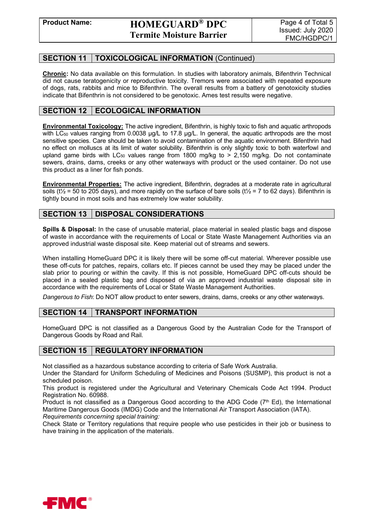### **SECTION 11 TOXICOLOGICAL INFORMATION** (Continued)

**Chronic:** No data available on this formulation. In studies with laboratory animals, Bifenthrin Technical did not cause teratogenicity or reproductive toxicity. Tremors were associated with repeated exposure of dogs, rats, rabbits and mice to Bifenthrin. The overall results from a battery of genotoxicity studies indicate that Bifenthrin is not considered to be genotoxic. Ames test results were negative.

### **SECTION 12 | ECOLOGICAL INFORMATION**

**Environmental Toxicology:** The active ingredient, Bifenthrin, is highly toxic to fish and aquatic arthropods with LC<sub>50</sub> values ranging from 0.0038  $\mu$ g/L to 17.8  $\mu$ g/L. In general, the aquatic arthropods are the most sensitive species. Care should be taken to avoid contamination of the aquatic environment. Bifenthrin had no effect on molluscs at its limit of water solubility. Bifenthrin is only slightly toxic to both waterfowl and upland game birds with  $LC_{50}$  values range from 1800 mg/kg to > 2,150 mg/kg. Do not contaminate sewers, drains, dams, creeks or any other waterways with product or the used container. Do not use this product as a liner for fish ponds.

**Environmental Properties:** The active ingredient, Bifenthrin, degrades at a moderate rate in agricultural soils ( $t\frac{1}{2}$  = 50 to 205 days), and more rapidly on the surface of bare soils ( $t\frac{1}{2}$  = 7 to 62 days). Bifenthrin is tightly bound in most soils and has extremely low water solubility.

### **SECTION 13 DISPOSAL CONSIDERATIONS**

**Spills & Disposal:** In the case of unusable material, place material in sealed plastic bags and dispose of waste in accordance with the requirements of Local or State Waste Management Authorities via an approved industrial waste disposal site. Keep material out of streams and sewers.

When installing HomeGuard DPC it is likely there will be some off-cut material. Wherever possible use these off-cuts for patches, repairs, collars etc. If pieces cannot be used they may be placed under the slab prior to pouring or within the cavity. If this is not possible, HomeGuard DPC off-cuts should be placed in a sealed plastic bag and disposed of via an approved industrial waste disposal site in accordance with the requirements of Local or State Waste Management Authorities.

*Dangerous to Fish*: Do NOT allow product to enter sewers, drains, dams, creeks or any other waterways.

### **SECTION 14 TRANSPORT INFORMATION**

HomeGuard DPC is not classified as a Dangerous Good by the Australian Code for the Transport of Dangerous Goods by Road and Rail.

### **SECTION 15 REGULATORY INFORMATION**

Not classified as a hazardous substance according to criteria of Safe Work Australia.

Under the Standard for Uniform Scheduling of Medicines and Poisons (SUSMP), this product is not a scheduled poison.

This product is registered under the Agricultural and Veterinary Chemicals Code Act 1994. Product Registration No. 60988.

Product is not classified as a Dangerous Good according to the ADG Code  $(7<sup>th</sup> Ed)$ , the International Maritime Dangerous Goods (IMDG) Code and the International Air Transport Association (IATA). *Requirements concerning special training:*

Check State or Territory regulations that require people who use pesticides in their job or business to have training in the application of the materials.